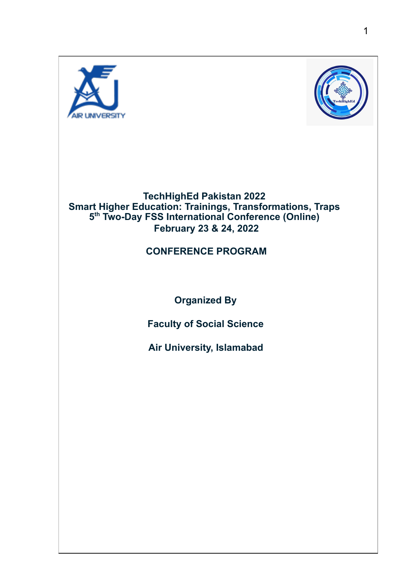



#### **TechHighEd Pakistan 2022 Smart Higher Education: Trainings, Transformations, Traps 5 th Two-Day FSS International Conference (Online) February 23 & 24, 2022**

#### **CONFERENCE PROGRAM**

**Organized By**

**Faculty of Social Science**

**Air University, Islamabad**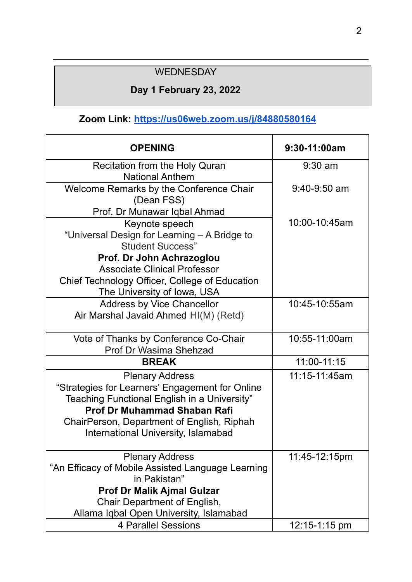### **WEDNESDAY**

### **Day 1 February 23, 2022**

### **Zoom Link: <https://us06web.zoom.us/j/84880580164>**

| <b>OPENING</b>                                                          | 9:30-11:00am   |
|-------------------------------------------------------------------------|----------------|
| <b>Recitation from the Holy Quran</b>                                   | $9:30$ am      |
| <b>National Anthem</b>                                                  |                |
| Welcome Remarks by the Conference Chair                                 | $9:40-9:50$ am |
| (Dean FSS)                                                              |                |
| Prof. Dr Munawar Iqbal Ahmad                                            |                |
| Keynote speech                                                          | 10:00-10:45am  |
| "Universal Design for Learning - A Bridge to<br><b>Student Success"</b> |                |
| Prof. Dr John Achrazoglou                                               |                |
| <b>Associate Clinical Professor</b>                                     |                |
| Chief Technology Officer, College of Education                          |                |
| The University of Iowa, USA                                             |                |
| <b>Address by Vice Chancellor</b>                                       | 10:45-10:55am  |
| Air Marshal Javaid Ahmed HI(M) (Retd)                                   |                |
| Vote of Thanks by Conference Co-Chair                                   | 10:55-11:00am  |
| Prof Dr Wasima Shehzad                                                  |                |
| <b>BREAK</b>                                                            | 11:00-11:15    |
| <b>Plenary Address</b>                                                  | 11:15-11:45am  |
| "Strategies for Learners' Engagement for Online                         |                |
| Teaching Functional English in a University"                            |                |
| <b>Prof Dr Muhammad Shaban Rafi</b>                                     |                |
| ChairPerson, Department of English, Riphah                              |                |
| <b>International University, Islamabad</b>                              |                |
| <b>Plenary Address</b>                                                  | 11:45-12:15pm  |
| "An Efficacy of Mobile Assisted Language Learning                       |                |
| in Pakistan"                                                            |                |
| <b>Prof Dr Malik Ajmal Gulzar</b>                                       |                |
| Chair Department of English,                                            |                |
| Allama Iqbal Open University, Islamabad                                 |                |
| 4 Parallel Sessions                                                     | 12:15-1:15 pm  |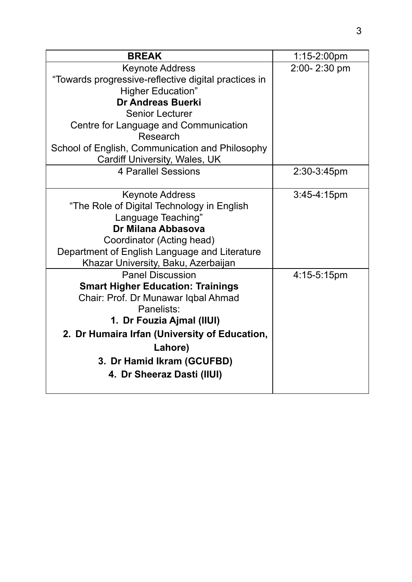| <b>BREAK</b>                                         | $1:15-2:00$ pm |
|------------------------------------------------------|----------------|
| <b>Keynote Address</b>                               | 2:00-2:30 pm   |
| "Towards progressive-reflective digital practices in |                |
| <b>Higher Education"</b>                             |                |
| <b>Dr Andreas Buerki</b>                             |                |
| <b>Senior Lecturer</b>                               |                |
| Centre for Language and Communication                |                |
| Research                                             |                |
| School of English, Communication and Philosophy      |                |
| Cardiff University, Wales, UK                        |                |
| <b>4 Parallel Sessions</b>                           | 2:30-3:45pm    |
|                                                      |                |
| <b>Keynote Address</b>                               | $3:45-4:15pm$  |
| "The Role of Digital Technology in English           |                |
| Language Teaching"<br>Dr Milana Abbasova             |                |
| Coordinator (Acting head)                            |                |
| Department of English Language and Literature        |                |
| Khazar University, Baku, Azerbaijan                  |                |
| <b>Panel Discussion</b>                              | 4:15-5:15pm    |
| <b>Smart Higher Education: Trainings</b>             |                |
| Chair: Prof. Dr Munawar Iqbal Ahmad                  |                |
| Panelists:                                           |                |
| 1. Dr Fouzia Ajmal (IIUI)                            |                |
| 2. Dr Humaira Irfan (University of Education,        |                |
| Lahore)                                              |                |
| 3. Dr Hamid Ikram (GCUFBD)                           |                |
|                                                      |                |
| 4. Dr Sheeraz Dasti (IIUI)                           |                |
|                                                      |                |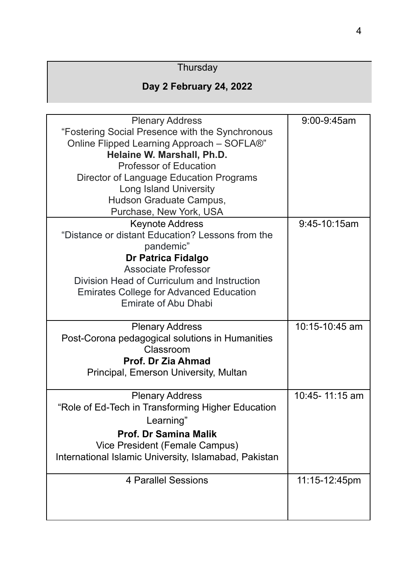### **Thursday**

### **Day 2 February 24, 2022**

|                                                       | 9:00-9:45am    |
|-------------------------------------------------------|----------------|
| <b>Plenary Address</b>                                |                |
| "Fostering Social Presence with the Synchronous       |                |
| Online Flipped Learning Approach - SOFLA®"            |                |
| Helaine W. Marshall, Ph.D.                            |                |
| <b>Professor of Education</b>                         |                |
| Director of Language Education Programs               |                |
| <b>Long Island University</b>                         |                |
| Hudson Graduate Campus,                               |                |
| Purchase, New York, USA                               |                |
| <b>Keynote Address</b>                                | 9:45-10:15am   |
| "Distance or distant Education? Lessons from the      |                |
| pandemic"                                             |                |
| <b>Dr Patrica Fidalgo</b>                             |                |
| <b>Associate Professor</b>                            |                |
| Division Head of Curriculum and Instruction           |                |
| <b>Emirates College for Advanced Education</b>        |                |
| <b>Emirate of Abu Dhabi</b>                           |                |
|                                                       |                |
|                                                       |                |
|                                                       | 10:15-10:45 am |
| <b>Plenary Address</b>                                |                |
| Post-Corona pedagogical solutions in Humanities       |                |
| Classroom                                             |                |
| Prof. Dr Zia Ahmad                                    |                |
| Principal, Emerson University, Multan                 |                |
|                                                       |                |
| <b>Plenary Address</b>                                | 10:45-11:15 am |
| "Role of Ed-Tech in Transforming Higher Education     |                |
| Learning"                                             |                |
| <b>Prof. Dr Samina Malik</b>                          |                |
| Vice President (Female Campus)                        |                |
| International Islamic University, Islamabad, Pakistan |                |
| 4 Parallel Sessions                                   | 11:15-12:45pm  |
|                                                       |                |
|                                                       |                |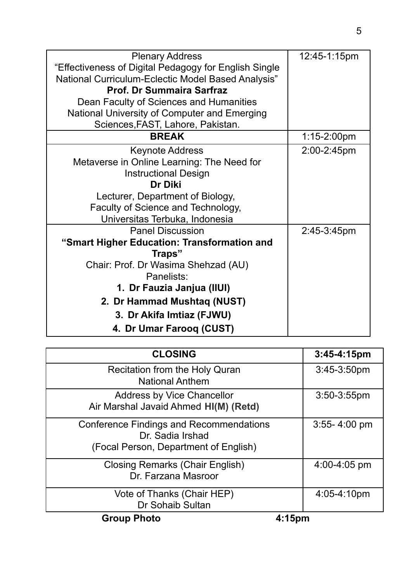| <b>Plenary Address</b>                                | 12:45-1:15pm     |
|-------------------------------------------------------|------------------|
| "Effectiveness of Digital Pedagogy for English Single |                  |
| National Curriculum-Eclectic Model Based Analysis"    |                  |
| <b>Prof. Dr Summaira Sarfraz</b>                      |                  |
| Dean Faculty of Sciences and Humanities               |                  |
| National University of Computer and Emerging          |                  |
| Sciences, FAST, Lahore, Pakistan.                     |                  |
| <b>BREAK</b>                                          | $1:15 - 2:00$ pm |
| <b>Keynote Address</b>                                | 2:00-2:45pm      |
| Metaverse in Online Learning: The Need for            |                  |
| <b>Instructional Design</b>                           |                  |
| Dr Diki                                               |                  |
| Lecturer, Department of Biology,                      |                  |
| Faculty of Science and Technology,                    |                  |
| Universitas Terbuka, Indonesia                        |                  |
| <b>Panel Discussion</b>                               | 2:45-3:45pm      |
| "Smart Higher Education: Transformation and           |                  |
| Traps"                                                |                  |
| Chair: Prof. Dr Wasima Shehzad (AU)                   |                  |
| Panelists:                                            |                  |
| 1. Dr Fauzia Janjua (IIUI)                            |                  |
| 2. Dr Hammad Mushtaq (NUST)                           |                  |
| 3. Dr Akifa Imtiaz (FJWU)                             |                  |
| 4. Dr Umar Farooq (CUST)                              |                  |

| <b>CLOSING</b>                                                                                              | 3:45-4:15pm        |
|-------------------------------------------------------------------------------------------------------------|--------------------|
| <b>Recitation from the Holy Quran</b><br><b>National Anthem</b>                                             | $3:45-3:50pm$      |
| <b>Address by Vice Chancellor</b><br>Air Marshal Javaid Ahmed HI(M) (Retd)                                  | 3:50-3:55pm        |
| <b>Conference Findings and Recommendations</b><br>Dr. Sadia Irshad<br>(Focal Person, Department of English) | $3:55 - 4:00$ pm   |
| <b>Closing Remarks (Chair English)</b><br>Dr. Farzana Masroor                                               | 4:00-4:05 pm       |
| Vote of Thanks (Chair HEP)<br>Dr Sohaib Sultan                                                              | 4:05-4:10pm        |
| <b>Group Photo</b>                                                                                          | 4:15 <sub>pm</sub> |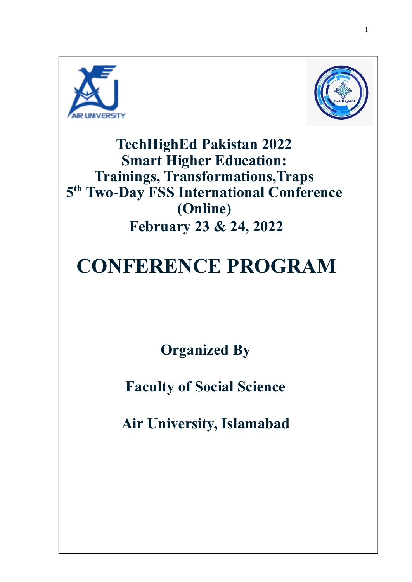



**TechHighEd Pakistan 2022 Smart Higher Education: Trainings, Transformations,Traps 5 th Two-Day FSS International Conference (Online) February 23 & 24, 2022**

# **CONFERENCE PROGRAM**

**Organized By**

**Faculty of Social Science**

**Air University, Islamabad**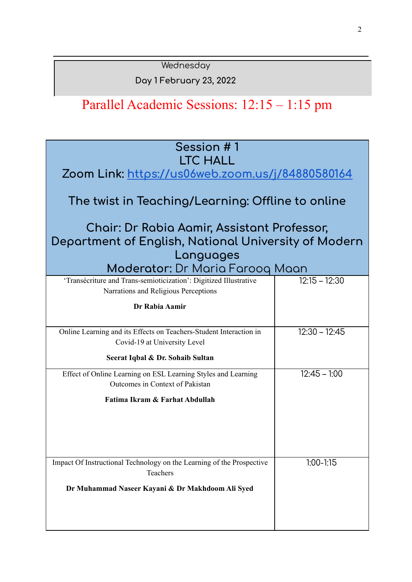**Wednesday** 

**Day 1 February 23, 2022**

# Parallel Academic Sessions: 12:15 – 1:15 pm

| Session #1<br><b>LTC HALL</b><br>Zoom Link: https://us06web.zoom.us/j/84880580164<br>The twist in Teaching/Learning: Offline to online<br>Chair: Dr Rabia Aamir, Assistant Professor,<br>Department of English, National University of Modern<br>Languages<br>Moderator: Dr Maria Farooq Maan |                 |
|-----------------------------------------------------------------------------------------------------------------------------------------------------------------------------------------------------------------------------------------------------------------------------------------------|-----------------|
| 'Transécriture and Trans-semioticization': Digitized Illustrative                                                                                                                                                                                                                             | $12:15 - 12:30$ |
| Narrations and Religious Perceptions<br>Dr Rabia Aamir                                                                                                                                                                                                                                        |                 |
| Online Learning and its Effects on Teachers-Student Interaction in<br>Covid-19 at University Level                                                                                                                                                                                            | $12:30 - 12:45$ |
| Seerat Iqbal & Dr. Sohaib Sultan                                                                                                                                                                                                                                                              |                 |
| Effect of Online Learning on ESL Learning Styles and Learning<br>Outcomes in Context of Pakistan<br>Fatima Ikram & Farhat Abdullah                                                                                                                                                            | $12:45 - 1:00$  |
| Impact Of Instructional Technology on the Learning of the Prospective<br>Teachers                                                                                                                                                                                                             | $1:00-1:15$     |
| Dr Muhammad Naseer Kayani & Dr Makhdoom Ali Syed                                                                                                                                                                                                                                              |                 |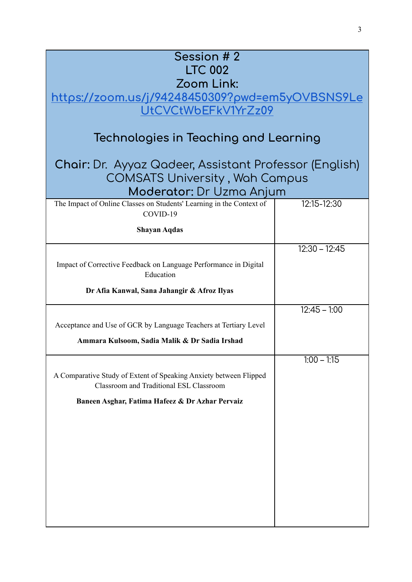| Session # 2                                                                                                  |                 |
|--------------------------------------------------------------------------------------------------------------|-----------------|
| <b>LTC 002</b>                                                                                               |                 |
| Zoom Link:                                                                                                   |                 |
| <u> https://zoom.us/j/94248450309?pwd=em5yOVBSNS9Le</u>                                                      |                 |
| UtCVCtWbEFkV1YrZz09                                                                                          |                 |
| Technologies in Teaching and Learning                                                                        |                 |
| Chair: Dr. Ayyaz Qadeer, Assistant Professor (English)                                                       |                 |
| <b>COMSATS University, Wah Campus</b>                                                                        |                 |
| Moderator: Dr Uzma Anjum                                                                                     |                 |
| The Impact of Online Classes on Students' Learning in the Context of<br>COVID-19                             | 12:15-12:30     |
| <b>Shayan Aqdas</b>                                                                                          |                 |
|                                                                                                              | $12:30 - 12:45$ |
| Impact of Corrective Feedback on Language Performance in Digital<br>Education                                |                 |
| Dr Afia Kanwal, Sana Jahangir & Afroz Ilyas                                                                  |                 |
|                                                                                                              | $12:45 - 1:00$  |
| Acceptance and Use of GCR by Language Teachers at Tertiary Level                                             |                 |
| Ammara Kulsoom, Sadia Malik & Dr Sadia Irshad                                                                |                 |
|                                                                                                              | $1:00 - 1:15$   |
| A Comparative Study of Extent of Speaking Anxiety between Flipped<br>Classroom and Traditional ESL Classroom |                 |
| Baneen Asghar, Fatima Hafeez & Dr Azhar Pervaiz                                                              |                 |
|                                                                                                              |                 |
|                                                                                                              |                 |
|                                                                                                              |                 |
|                                                                                                              |                 |
|                                                                                                              |                 |
|                                                                                                              |                 |
|                                                                                                              |                 |
|                                                                                                              |                 |
|                                                                                                              |                 |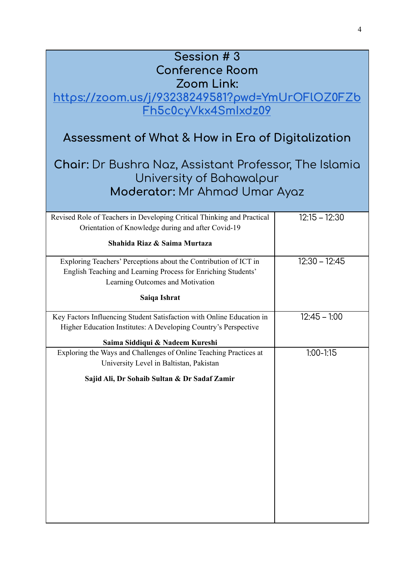### **Session # 3 Conference Room Zoom Link:**

**[https://zoom.us/j/93238249581?pwd=YmUrOFlOZ0FZb](https://zoom.us/j/93238249581?pwd=YmUrOFlOZ0FZbFh5c0cyVkx4SmIxdz09) [Fh5c0cyVkx4SmIxdz09](https://zoom.us/j/93238249581?pwd=YmUrOFlOZ0FZbFh5c0cyVkx4SmIxdz09)**

### **Assessment of What & How in Era of Digitalization**

### **Chair:** Dr Bushra Naz, Assistant Professor, The Islamia University of Bahawalpur **Moderator:** Mr Ahmad Umar Ayaz

| Revised Role of Teachers in Developing Critical Thinking and Practical | $12:15 - 12:30$ |
|------------------------------------------------------------------------|-----------------|
| Orientation of Knowledge during and after Covid-19                     |                 |
|                                                                        |                 |
| Shahida Riaz & Saima Murtaza                                           |                 |
| Exploring Teachers' Perceptions about the Contribution of ICT in       | $12:30 - 12:45$ |
| English Teaching and Learning Process for Enriching Students'          |                 |
| Learning Outcomes and Motivation                                       |                 |
| Saiqa Ishrat                                                           |                 |
| Key Factors Influencing Student Satisfaction with Online Education in  | $12:45 - 1:00$  |
| Higher Education Institutes: A Developing Country's Perspective        |                 |
| Saima Siddiqui & Nadeem Kureshi                                        |                 |
| Exploring the Ways and Challenges of Online Teaching Practices at      | $1:00 - 1:15$   |
| University Level in Baltistan, Pakistan                                |                 |
| Sajid Ali, Dr Sohaib Sultan & Dr Sadaf Zamir                           |                 |
|                                                                        |                 |
|                                                                        |                 |
|                                                                        |                 |
|                                                                        |                 |
|                                                                        |                 |
|                                                                        |                 |
|                                                                        |                 |
|                                                                        |                 |
|                                                                        |                 |
|                                                                        |                 |
|                                                                        |                 |
|                                                                        |                 |
|                                                                        |                 |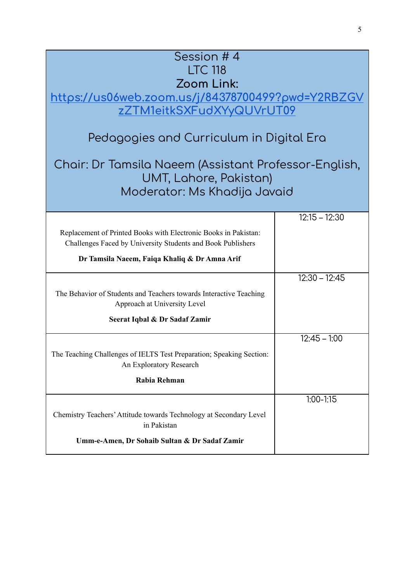| Session #4<br><b>LTC 118</b><br>Zoom Link:<br>https://us06web.zoom.us/j/84378700499?pwd=Y2RBZGV                                                             |                 |
|-------------------------------------------------------------------------------------------------------------------------------------------------------------|-----------------|
| zZTM1eitkSXFudXYyQUVrUT09                                                                                                                                   |                 |
| Pedagogies and Curriculum in Digital Era<br>Chair: Dr Tamsila Naeem (Assistant Professor-English,<br>UMT, Lahore, Pakistan)<br>Moderator: Ms Khadija Javaid |                 |
|                                                                                                                                                             | $12:15 - 12:30$ |
| Replacement of Printed Books with Electronic Books in Pakistan:<br>Challenges Faced by University Students and Book Publishers                              |                 |
| Dr Tamsila Naeem, Faiqa Khaliq & Dr Amna Arif                                                                                                               |                 |
|                                                                                                                                                             | $12:30 - 12:45$ |
| The Behavior of Students and Teachers towards Interactive Teaching<br>Approach at University Level                                                          |                 |
| Seerat Iqbal & Dr Sadaf Zamir                                                                                                                               |                 |
|                                                                                                                                                             | $12:45 - 1:00$  |
| The Teaching Challenges of IELTS Test Preparation; Speaking Section:<br>An Exploratory Research                                                             |                 |
| Rabia Rehman                                                                                                                                                |                 |
|                                                                                                                                                             | $1:00 - 1:15$   |
| Chemistry Teachers' Attitude towards Technology at Secondary Level<br>in Pakistan                                                                           |                 |
| Umm-e-Amen, Dr Sohaib Sultan & Dr Sadaf Zamir                                                                                                               |                 |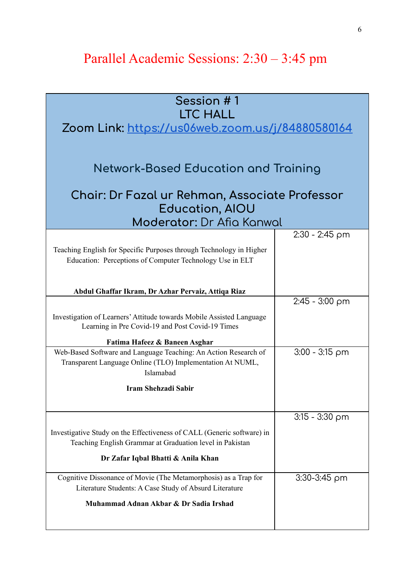## Parallel Academic Sessions: 2:30 – 3:45 pm

| Session #1                                                             |                  |
|------------------------------------------------------------------------|------------------|
|                                                                        |                  |
| <b>LTC HALL</b>                                                        |                  |
| <u> Zoom Link: https://us06web.zoom.us/j/84880580164</u>               |                  |
|                                                                        |                  |
|                                                                        |                  |
|                                                                        |                  |
| Network-Based Education and Training                                   |                  |
|                                                                        |                  |
| Chair: Dr Fazal ur Rehman, Associate Professor                         |                  |
| <b>Education, AIOU</b>                                                 |                  |
| Moderator: Dr Afia Kanwal                                              |                  |
|                                                                        | $2:30 - 2:45$ pm |
|                                                                        |                  |
| Teaching English for Specific Purposes through Technology in Higher    |                  |
| Education: Perceptions of Computer Technology Use in ELT               |                  |
|                                                                        |                  |
| Abdul Ghaffar Ikram, Dr Azhar Pervaiz, Attiqa Riaz                     |                  |
|                                                                        | $2:45 - 3:00$ pm |
|                                                                        |                  |
| Investigation of Learners' Attitude towards Mobile Assisted Language   |                  |
| Learning in Pre Covid-19 and Post Covid-19 Times                       |                  |
| Fatima Hafeez & Baneen Asghar                                          |                  |
| Web-Based Software and Language Teaching: An Action Research of        | $3:00 - 3:15$ pm |
| Transparent Language Online (TLO) Implementation At NUML,              |                  |
| Islamabad                                                              |                  |
| Iram Shehzadi Sabir                                                    |                  |
|                                                                        |                  |
|                                                                        |                  |
|                                                                        | $3:15 - 3:30$ pm |
| Investigative Study on the Effectiveness of CALL (Generic software) in |                  |
| Teaching English Grammar at Graduation level in Pakistan               |                  |
| Dr Zafar Iqbal Bhatti & Anila Khan                                     |                  |
|                                                                        |                  |
| Cognitive Dissonance of Movie (The Metamorphosis) as a Trap for        | $3:30-3:45$ pm   |
| Literature Students: A Case Study of Absurd Literature                 |                  |
| Muhammad Adnan Akbar & Dr Sadia Irshad                                 |                  |
|                                                                        |                  |
|                                                                        |                  |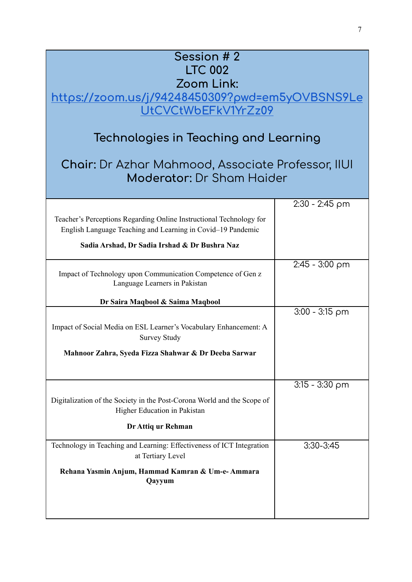| Session # 2<br><b>LTC 002</b><br>Zoom Link:<br>https://zoom.us/j/94248450309?pwd=em5yOVBSNS9Le<br>UtCVCtWbEFkV1YrZz09<br>Technologies in Teaching and Learning<br><b>Chair:</b> Dr Azhar Mahmood, Associate Professor, IIUI<br><b>Moderator:</b> Dr Sham Haider |                  |
|-----------------------------------------------------------------------------------------------------------------------------------------------------------------------------------------------------------------------------------------------------------------|------------------|
|                                                                                                                                                                                                                                                                 | 2:30 - 2:45 pm   |
| Teacher's Perceptions Regarding Online Instructional Technology for<br>English Language Teaching and Learning in Covid-19 Pandemic                                                                                                                              |                  |
| Sadia Arshad, Dr Sadia Irshad & Dr Bushra Naz                                                                                                                                                                                                                   |                  |
| Impact of Technology upon Communication Competence of Gen z<br>Language Learners in Pakistan                                                                                                                                                                    | $2:45 - 3:00$ pm |
| Dr Saira Maqbool & Saima Maqbool                                                                                                                                                                                                                                |                  |
| Impact of Social Media on ESL Learner's Vocabulary Enhancement: A<br><b>Survey Study</b>                                                                                                                                                                        | $3:00 - 3:15$ pm |
| Mahnoor Zahra, Syeda Fizza Shahwar & Dr Deeba Sarwar                                                                                                                                                                                                            |                  |
|                                                                                                                                                                                                                                                                 | $3:15 - 3:30$ pm |
| Digitalization of the Society in the Post-Corona World and the Scope of<br>Higher Education in Pakistan                                                                                                                                                         |                  |
| Dr Attiq ur Rehman                                                                                                                                                                                                                                              |                  |
| Technology in Teaching and Learning: Effectiveness of ICT Integration<br>at Tertiary Level                                                                                                                                                                      | $3:30 - 3:45$    |
| Rehana Yasmin Anjum, Hammad Kamran & Um-e-Ammara<br>Qayyum                                                                                                                                                                                                      |                  |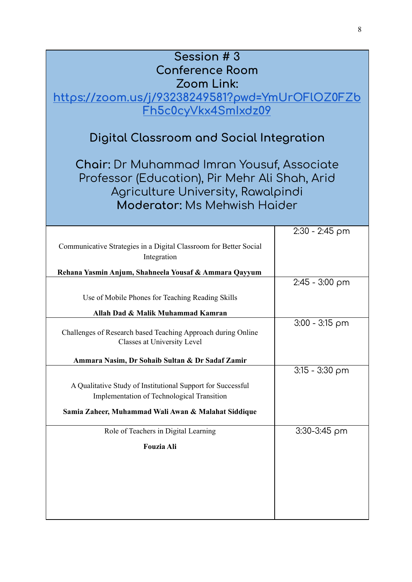| Session #3                                                                                          |                  |
|-----------------------------------------------------------------------------------------------------|------------------|
| <b>Conference Room</b>                                                                              |                  |
| Zoom Link:                                                                                          |                  |
| <u> https://zoom.us/j/93238249581?pwd=YmUrOFlOZ0FZb</u>                                             |                  |
| Fh5c0cyVkx4Smlxdz09                                                                                 |                  |
|                                                                                                     |                  |
| Digital Classroom and Social Integration                                                            |                  |
| <b>Chair: Dr Muhammad Imran Yousuf, Associate</b><br>Professor (Education), Pir Mehr Ali Shah, Arid |                  |
| Agriculture University, Rawalpindi                                                                  |                  |
| <b>Moderator: Ms Mehwish Haider</b>                                                                 |                  |
|                                                                                                     |                  |
|                                                                                                     |                  |
|                                                                                                     | $2:30 - 2:45$ pm |
| Communicative Strategies in a Digital Classroom for Better Social<br>Integration                    |                  |
| Rehana Yasmin Anjum, Shahneela Yousaf & Ammara Qayyum                                               |                  |
|                                                                                                     | $2:45 - 3:00$ pm |
| Use of Mobile Phones for Teaching Reading Skills                                                    |                  |
| Allah Dad & Malik Muhammad Kamran                                                                   |                  |
|                                                                                                     | $3:00 - 3:15$ pm |
| Challenges of Research based Teaching Approach during Online<br>Classes at University Level         |                  |
| Ammara Nasim, Dr Sohaib Sultan & Dr Sadaf Zamir                                                     |                  |
|                                                                                                     | $3:15 - 3:30$ pm |
| A Qualitative Study of Institutional Support for Successful                                         |                  |
| <b>Implementation of Technological Transition</b>                                                   |                  |
| Samia Zaheer, Muhammad Wali Awan & Malahat Siddique                                                 |                  |
| Role of Teachers in Digital Learning                                                                | $3:30-3:45$ pm   |
| <b>Fouzia Ali</b>                                                                                   |                  |
|                                                                                                     |                  |
|                                                                                                     |                  |
|                                                                                                     |                  |
|                                                                                                     |                  |
|                                                                                                     |                  |
|                                                                                                     |                  |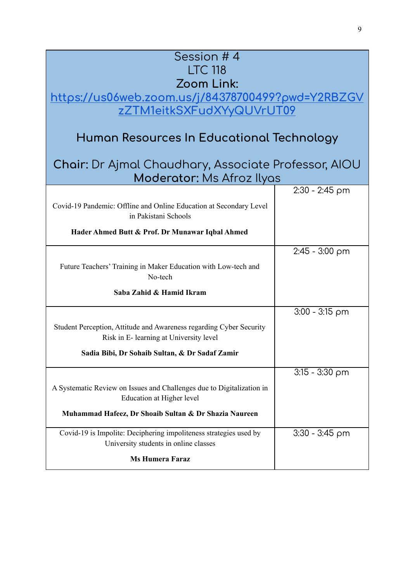| Session #4                                                                                                     |                  |  |
|----------------------------------------------------------------------------------------------------------------|------------------|--|
| <b>LTC 118</b>                                                                                                 |                  |  |
| Zoom Link:                                                                                                     |                  |  |
| https://us06web.zoom.us/j/84378700499?pwd=Y2RBZGV                                                              |                  |  |
| zZTM1eitkSXFudXYyQUVrUT09                                                                                      |                  |  |
| Human Resources In Educational Technology                                                                      |                  |  |
| <b>Chair:</b> Dr Ajmal Chaudhary, Associate Professor, AIOU<br>Moderator: Ms Afroz Ilyas                       |                  |  |
|                                                                                                                | 2:30 - 2:45 pm   |  |
| Covid-19 Pandemic: Offline and Online Education at Secondary Level<br>in Pakistani Schools                     |                  |  |
| Hader Ahmed Butt & Prof. Dr Munawar Iqbal Ahmed                                                                |                  |  |
|                                                                                                                | $2:45 - 3:00$ pm |  |
| Future Teachers' Training in Maker Education with Low-tech and<br>No-tech                                      |                  |  |
| Saba Zahid & Hamid Ikram                                                                                       |                  |  |
|                                                                                                                | $3:00 - 3:15$ pm |  |
| Student Perception, Attitude and Awareness regarding Cyber Security<br>Risk in E- learning at University level |                  |  |
| Sadia Bibi, Dr Sohaib Sultan, & Dr Sadaf Zamir                                                                 |                  |  |
|                                                                                                                | $3:15 - 3:30$ pm |  |
| A Systematic Review on Issues and Challenges due to Digitalization in<br>Education at Higher level             |                  |  |
| Muhammad Hafeez, Dr Shoaib Sultan & Dr Shazia Naureen                                                          |                  |  |
| Covid-19 is Impolite: Deciphering impoliteness strategies used by<br>University students in online classes     | $3:30 - 3:45$ pm |  |
| <b>Ms Humera Faraz</b>                                                                                         |                  |  |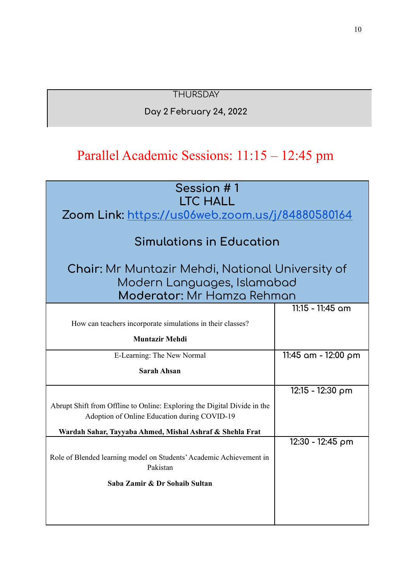### **THURSDAY**

#### **Day 2 February 24, 2022**

### Parallel Academic Sessions: 11:15 – 12:45 pm

| Session #1<br><b>LTC HALL</b>                                                                                            |                     |  |
|--------------------------------------------------------------------------------------------------------------------------|---------------------|--|
| Zoom Link: https://us06web.zoom.us/j/84880580164                                                                         |                     |  |
| <b>Simulations in Education</b>                                                                                          |                     |  |
| <b>Chair:</b> Mr Muntazir Mehdi, National University of<br>Modern Languages, Islamabad<br>Moderator: Mr Hamza Rehman     |                     |  |
|                                                                                                                          | $11:15 - 11:45$ am  |  |
| How can teachers incorporate simulations in their classes?                                                               |                     |  |
| <b>Muntazir Mehdi</b>                                                                                                    |                     |  |
| E-Learning: The New Normal                                                                                               | 11:45 am - 12:00 pm |  |
| <b>Sarah Ahsan</b>                                                                                                       |                     |  |
|                                                                                                                          | 12:15 - 12:30 pm    |  |
| Abrupt Shift from Offline to Online: Exploring the Digital Divide in the<br>Adoption of Online Education during COVID-19 |                     |  |
| Wardah Sahar, Tayyaba Ahmed, Mishal Ashraf & Shehla Frat                                                                 |                     |  |
|                                                                                                                          | 12:30 - 12:45 pm    |  |
| Role of Blended learning model on Students' Academic Achievement in<br>Pakistan                                          |                     |  |
| Saba Zamir & Dr Sohaib Sultan                                                                                            |                     |  |
|                                                                                                                          |                     |  |
|                                                                                                                          |                     |  |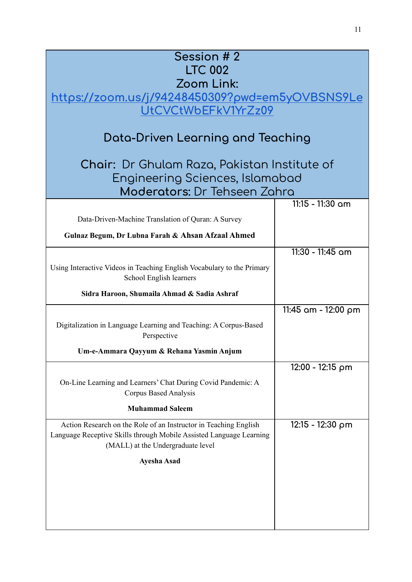| Session # 2<br><b>LTC 002</b><br>Zoom Link:<br><u>https://zoom.us/j/94248450309?pwd=em5yOVBSNS9Le</u><br>UtCVCtWbEFkV1YrZz09<br>Data-Driven Learning and Teaching<br>Chair: Dr Ghulam Raza, Pakistan Institute of |                         |  |
|-------------------------------------------------------------------------------------------------------------------------------------------------------------------------------------------------------------------|-------------------------|--|
| Engineering Sciences, Islamabad<br>Moderators: Dr Tehseen Zahra                                                                                                                                                   |                         |  |
|                                                                                                                                                                                                                   | 11:15 - 11:30 am        |  |
| Data-Driven-Machine Translation of Quran: A Survey                                                                                                                                                                |                         |  |
| Gulnaz Begum, Dr Lubna Farah & Ahsan Afzaal Ahmed                                                                                                                                                                 |                         |  |
| Using Interactive Videos in Teaching English Vocabulary to the Primary<br>School English learners<br>Sidra Haroon, Shumaila Ahmad & Sadia Ashraf                                                                  | 11:30 - 11:45 am        |  |
|                                                                                                                                                                                                                   |                         |  |
| Digitalization in Language Learning and Teaching: A Corpus-Based<br>Perspective<br>Um-e-Ammara Qayyum & Rehana Yasmin Anjum                                                                                       | $11:45$ am - $12:00$ pm |  |
|                                                                                                                                                                                                                   | 12:00 - 12:15 pm        |  |
| On-Line Learning and Learners' Chat During Covid Pandemic: A<br>Corpus Based Analysis<br><b>Muhammad Saleem</b>                                                                                                   |                         |  |
| Action Research on the Role of an Instructor in Teaching English<br>Language Receptive Skills through Mobile Assisted Language Learning<br>(MALL) at the Undergraduate level                                      | 12:15 - 12:30 pm        |  |
| <b>Ayesha Asad</b>                                                                                                                                                                                                |                         |  |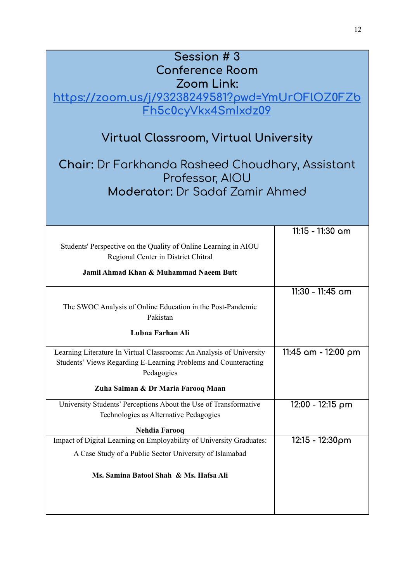| Session #3<br><b>Conference Room</b><br>Zoom Link:<br><u> https://zoom.us/j/93238249581?pwd=YmUrOFlOZ0FZb</u><br>Fh5c0cyVkx4Smlxdz09                  |                     |  |
|-------------------------------------------------------------------------------------------------------------------------------------------------------|---------------------|--|
| Virtual Classroom, Virtual University                                                                                                                 |                     |  |
| <b>Chair:</b> Dr Farkhanda Rasheed Choudhary, Assistant<br>Professor, AIOU<br>Moderator: Dr Sadaf Zamir Ahmed                                         |                     |  |
|                                                                                                                                                       |                     |  |
|                                                                                                                                                       | 11:15 - 11:30 am    |  |
| Students' Perspective on the Quality of Online Learning in AIOU<br>Regional Center in District Chitral                                                |                     |  |
| Jamil Ahmad Khan & Muhammad Naeem Butt                                                                                                                |                     |  |
|                                                                                                                                                       | 11:30 - 11:45 am    |  |
| The SWOC Analysis of Online Education in the Post-Pandemic<br>Pakistan                                                                                |                     |  |
| Lubna Farhan Ali                                                                                                                                      |                     |  |
| Learning Literature In Virtual Classrooms: An Analysis of University<br>Students' Views Regarding E-Learning Problems and Counteracting<br>Pedagogies | 11:45 am - 12:00 pm |  |
| Zuha Salman & Dr Maria Farooq Maan                                                                                                                    |                     |  |
| University Students' Perceptions About the Use of Transformative<br>Technologies as Alternative Pedagogies                                            | 12:00 - 12:15 pm    |  |
| <b>Nehdia Farooq</b>                                                                                                                                  |                     |  |
| Impact of Digital Learning on Employability of University Graduates:                                                                                  | 12:15 - 12:30pm     |  |
| A Case Study of a Public Sector University of Islamabad                                                                                               |                     |  |
| Ms. Samina Batool Shah & Ms. Hafsa Ali                                                                                                                |                     |  |
|                                                                                                                                                       |                     |  |